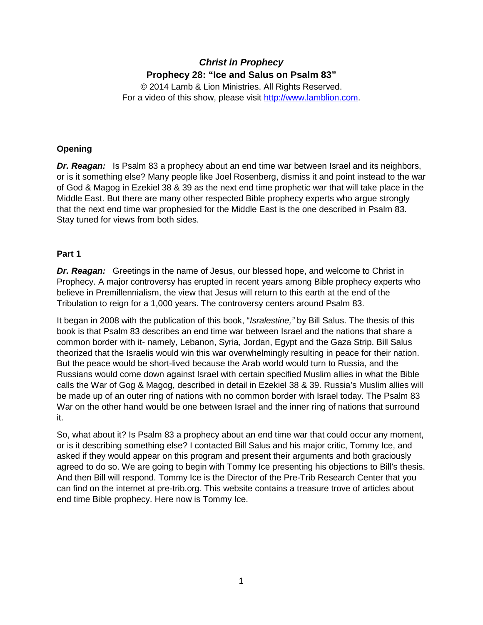# *Christ in Prophecy* **Prophecy 28: "Ice and Salus on Psalm 83"**

© 2014 Lamb & Lion Ministries. All Rights Reserved. For a video of this show, please visit [http://www.lamblion.com.](http://www.lamblion.com/)

## **Opening**

*Dr. Reagan:*Is Psalm 83 a prophecy about an end time war between Israel and its neighbors, or is it something else? Many people like Joel Rosenberg, dismiss it and point instead to the war of God & Magog in Ezekiel 38 & 39 as the next end time prophetic war that will take place in the Middle East. But there are many other respected Bible prophecy experts who argue strongly that the next end time war prophesied for the Middle East is the one described in Psalm 83. Stay tuned for views from both sides.

### **Part 1**

*Dr. Reagan:* Greetings in the name of Jesus, our blessed hope, and welcome to Christ in Prophecy. A major controversy has erupted in recent years among Bible prophecy experts who believe in Premillennialism, the view that Jesus will return to this earth at the end of the Tribulation to reign for a 1,000 years. The controversy centers around Psalm 83.

It began in 2008 with the publication of this book, "*Isralestine,"* by Bill Salus. The thesis of this book is that Psalm 83 describes an end time war between Israel and the nations that share a common border with it- namely, Lebanon, Syria, Jordan, Egypt and the Gaza Strip. Bill Salus theorized that the Israelis would win this war overwhelmingly resulting in peace for their nation. But the peace would be short-lived because the Arab world would turn to Russia, and the Russians would come down against Israel with certain specified Muslim allies in what the Bible calls the War of Gog & Magog, described in detail in Ezekiel 38 & 39. Russia's Muslim allies will be made up of an outer ring of nations with no common border with Israel today. The Psalm 83 War on the other hand would be one between Israel and the inner ring of nations that surround it.

So, what about it? Is Psalm 83 a prophecy about an end time war that could occur any moment, or is it describing something else? I contacted Bill Salus and his major critic, Tommy Ice, and asked if they would appear on this program and present their arguments and both graciously agreed to do so. We are going to begin with Tommy Ice presenting his objections to Bill's thesis. And then Bill will respond. Tommy Ice is the Director of the Pre-Trib Research Center that you can find on the internet at pre-trib.org. This website contains a treasure trove of articles about end time Bible prophecy. Here now is Tommy Ice.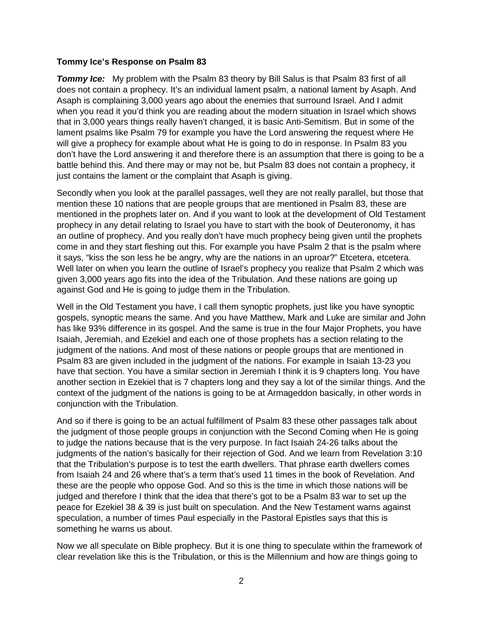#### **Tommy Ice's Response on Psalm 83**

**Tommy Ice:** My problem with the Psalm 83 theory by Bill Salus is that Psalm 83 first of all does not contain a prophecy. It's an individual lament psalm, a national lament by Asaph. And Asaph is complaining 3,000 years ago about the enemies that surround Israel. And I admit when you read it you'd think you are reading about the modern situation in Israel which shows that in 3,000 years things really haven't changed, it is basic Anti-Semitism. But in some of the lament psalms like Psalm 79 for example you have the Lord answering the request where He will give a prophecy for example about what He is going to do in response. In Psalm 83 you don't have the Lord answering it and therefore there is an assumption that there is going to be a battle behind this. And there may or may not be, but Psalm 83 does not contain a prophecy, it just contains the lament or the complaint that Asaph is giving.

Secondly when you look at the parallel passages, well they are not really parallel, but those that mention these 10 nations that are people groups that are mentioned in Psalm 83, these are mentioned in the prophets later on. And if you want to look at the development of Old Testament prophecy in any detail relating to Israel you have to start with the book of Deuteronomy, it has an outline of prophecy. And you really don't have much prophecy being given until the prophets come in and they start fleshing out this. For example you have Psalm 2 that is the psalm where it says, "kiss the son less he be angry, why are the nations in an uproar?" Etcetera, etcetera. Well later on when you learn the outline of Israel's prophecy you realize that Psalm 2 which was given 3,000 years ago fits into the idea of the Tribulation. And these nations are going up against God and He is going to judge them in the Tribulation.

Well in the Old Testament you have, I call them synoptic prophets, just like you have synoptic gospels, synoptic means the same. And you have Matthew, Mark and Luke are similar and John has like 93% difference in its gospel. And the same is true in the four Major Prophets, you have Isaiah, Jeremiah, and Ezekiel and each one of those prophets has a section relating to the judgment of the nations. And most of these nations or people groups that are mentioned in Psalm 83 are given included in the judgment of the nations. For example in Isaiah 13-23 you have that section. You have a similar section in Jeremiah I think it is 9 chapters long. You have another section in Ezekiel that is 7 chapters long and they say a lot of the similar things. And the context of the judgment of the nations is going to be at Armageddon basically, in other words in conjunction with the Tribulation.

And so if there is going to be an actual fulfillment of Psalm 83 these other passages talk about the judgment of those people groups in conjunction with the Second Coming when He is going to judge the nations because that is the very purpose. In fact Isaiah 24-26 talks about the judgments of the nation's basically for their rejection of God. And we learn from Revelation 3:10 that the Tribulation's purpose is to test the earth dwellers. That phrase earth dwellers comes from Isaiah 24 and 26 where that's a term that's used 11 times in the book of Revelation. And these are the people who oppose God. And so this is the time in which those nations will be judged and therefore I think that the idea that there's got to be a Psalm 83 war to set up the peace for Ezekiel 38 & 39 is just built on speculation. And the New Testament warns against speculation, a number of times Paul especially in the Pastoral Epistles says that this is something he warns us about.

Now we all speculate on Bible prophecy. But it is one thing to speculate within the framework of clear revelation like this is the Tribulation, or this is the Millennium and how are things going to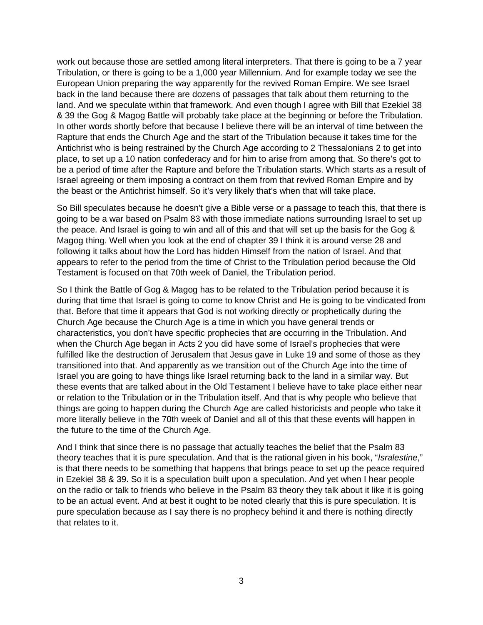work out because those are settled among literal interpreters. That there is going to be a 7 year Tribulation, or there is going to be a 1,000 year Millennium. And for example today we see the European Union preparing the way apparently for the revived Roman Empire. We see Israel back in the land because there are dozens of passages that talk about them returning to the land. And we speculate within that framework. And even though I agree with Bill that Ezekiel 38 & 39 the Gog & Magog Battle will probably take place at the beginning or before the Tribulation. In other words shortly before that because I believe there will be an interval of time between the Rapture that ends the Church Age and the start of the Tribulation because it takes time for the Antichrist who is being restrained by the Church Age according to 2 Thessalonians 2 to get into place, to set up a 10 nation confederacy and for him to arise from among that. So there's got to be a period of time after the Rapture and before the Tribulation starts. Which starts as a result of Israel agreeing or them imposing a contract on them from that revived Roman Empire and by the beast or the Antichrist himself. So it's very likely that's when that will take place.

So Bill speculates because he doesn't give a Bible verse or a passage to teach this, that there is going to be a war based on Psalm 83 with those immediate nations surrounding Israel to set up the peace. And Israel is going to win and all of this and that will set up the basis for the Gog & Magog thing. Well when you look at the end of chapter 39 I think it is around verse 28 and following it talks about how the Lord has hidden Himself from the nation of Israel. And that appears to refer to the period from the time of Christ to the Tribulation period because the Old Testament is focused on that 70th week of Daniel, the Tribulation period.

So I think the Battle of Gog & Magog has to be related to the Tribulation period because it is during that time that Israel is going to come to know Christ and He is going to be vindicated from that. Before that time it appears that God is not working directly or prophetically during the Church Age because the Church Age is a time in which you have general trends or characteristics, you don't have specific prophecies that are occurring in the Tribulation. And when the Church Age began in Acts 2 you did have some of Israel's prophecies that were fulfilled like the destruction of Jerusalem that Jesus gave in Luke 19 and some of those as they transitioned into that. And apparently as we transition out of the Church Age into the time of Israel you are going to have things like Israel returning back to the land in a similar way. But these events that are talked about in the Old Testament I believe have to take place either near or relation to the Tribulation or in the Tribulation itself. And that is why people who believe that things are going to happen during the Church Age are called historicists and people who take it more literally believe in the 70th week of Daniel and all of this that these events will happen in the future to the time of the Church Age.

And I think that since there is no passage that actually teaches the belief that the Psalm 83 theory teaches that it is pure speculation. And that is the rational given in his book, "*Isralestine*," is that there needs to be something that happens that brings peace to set up the peace required in Ezekiel 38 & 39. So it is a speculation built upon a speculation. And yet when I hear people on the radio or talk to friends who believe in the Psalm 83 theory they talk about it like it is going to be an actual event. And at best it ought to be noted clearly that this is pure speculation. It is pure speculation because as I say there is no prophecy behind it and there is nothing directly that relates to it.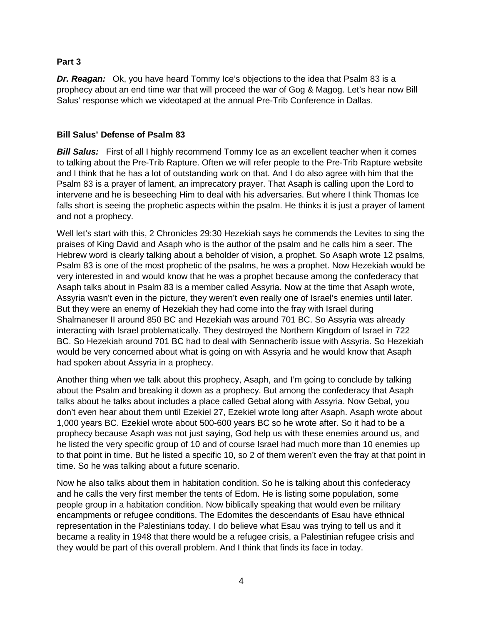### **Part 3**

*Dr. Reagan:* Ok, you have heard Tommy Ice's objections to the idea that Psalm 83 is a prophecy about an end time war that will proceed the war of Gog & Magog. Let's hear now Bill Salus' response which we videotaped at the annual Pre-Trib Conference in Dallas.

### **Bill Salus' Defense of Psalm 83**

**Bill Salus:** First of all I highly recommend Tommy Ice as an excellent teacher when it comes to talking about the Pre-Trib Rapture. Often we will refer people to the Pre-Trib Rapture website and I think that he has a lot of outstanding work on that. And I do also agree with him that the Psalm 83 is a prayer of lament, an imprecatory prayer. That Asaph is calling upon the Lord to intervene and he is beseeching Him to deal with his adversaries. But where I think Thomas Ice falls short is seeing the prophetic aspects within the psalm. He thinks it is just a prayer of lament and not a prophecy.

Well let's start with this, 2 Chronicles 29:30 Hezekiah says he commends the Levites to sing the praises of King David and Asaph who is the author of the psalm and he calls him a seer. The Hebrew word is clearly talking about a beholder of vision, a prophet. So Asaph wrote 12 psalms, Psalm 83 is one of the most prophetic of the psalms, he was a prophet. Now Hezekiah would be very interested in and would know that he was a prophet because among the confederacy that Asaph talks about in Psalm 83 is a member called Assyria. Now at the time that Asaph wrote, Assyria wasn't even in the picture, they weren't even really one of Israel's enemies until later. But they were an enemy of Hezekiah they had come into the fray with Israel during Shalmaneser II around 850 BC and Hezekiah was around 701 BC. So Assyria was already interacting with Israel problematically. They destroyed the Northern Kingdom of Israel in 722 BC. So Hezekiah around 701 BC had to deal with Sennacherib issue with Assyria. So Hezekiah would be very concerned about what is going on with Assyria and he would know that Asaph had spoken about Assyria in a prophecy.

Another thing when we talk about this prophecy, Asaph, and I'm going to conclude by talking about the Psalm and breaking it down as a prophecy. But among the confederacy that Asaph talks about he talks about includes a place called Gebal along with Assyria. Now Gebal, you don't even hear about them until Ezekiel 27, Ezekiel wrote long after Asaph. Asaph wrote about 1,000 years BC. Ezekiel wrote about 500-600 years BC so he wrote after. So it had to be a prophecy because Asaph was not just saying, God help us with these enemies around us, and he listed the very specific group of 10 and of course Israel had much more than 10 enemies up to that point in time. But he listed a specific 10, so 2 of them weren't even the fray at that point in time. So he was talking about a future scenario.

Now he also talks about them in habitation condition. So he is talking about this confederacy and he calls the very first member the tents of Edom. He is listing some population, some people group in a habitation condition. Now biblically speaking that would even be military encampments or refugee conditions. The Edomites the descendants of Esau have ethnical representation in the Palestinians today. I do believe what Esau was trying to tell us and it became a reality in 1948 that there would be a refugee crisis, a Palestinian refugee crisis and they would be part of this overall problem. And I think that finds its face in today.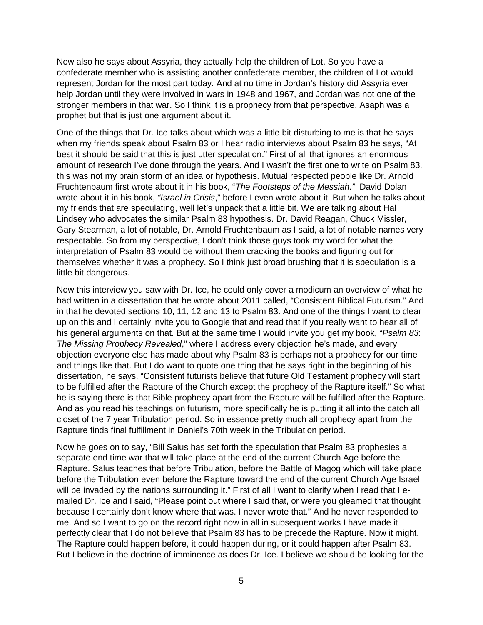Now also he says about Assyria, they actually help the children of Lot. So you have a confederate member who is assisting another confederate member, the children of Lot would represent Jordan for the most part today. And at no time in Jordan's history did Assyria ever help Jordan until they were involved in wars in 1948 and 1967, and Jordan was not one of the stronger members in that war. So I think it is a prophecy from that perspective. Asaph was a prophet but that is just one argument about it.

One of the things that Dr. Ice talks about which was a little bit disturbing to me is that he says when my friends speak about Psalm 83 or I hear radio interviews about Psalm 83 he says, "At best it should be said that this is just utter speculation." First of all that ignores an enormous amount of research I've done through the years. And I wasn't the first one to write on Psalm 83, this was not my brain storm of an idea or hypothesis. Mutual respected people like Dr. Arnold Fruchtenbaum first wrote about it in his book, "*The Footsteps of the Messiah."* David Dolan wrote about it in his book, *"Israel in Crisis*," before I even wrote about it. But when he talks about my friends that are speculating, well let's unpack that a little bit. We are talking about Hal Lindsey who advocates the similar Psalm 83 hypothesis. Dr. David Reagan, Chuck Missler, Gary Stearman, a lot of notable, Dr. Arnold Fruchtenbaum as I said, a lot of notable names very respectable. So from my perspective, I don't think those guys took my word for what the interpretation of Psalm 83 would be without them cracking the books and figuring out for themselves whether it was a prophecy. So I think just broad brushing that it is speculation is a little bit dangerous.

Now this interview you saw with Dr. Ice, he could only cover a modicum an overview of what he had written in a dissertation that he wrote about 2011 called, "Consistent Biblical Futurism." And in that he devoted sections 10, 11, 12 and 13 to Psalm 83. And one of the things I want to clear up on this and I certainly invite you to Google that and read that if you really want to hear all of his general arguments on that. But at the same time I would invite you get my book, "*Psalm 83*: *The Missing Prophecy Revealed*," where I address every objection he's made, and every objection everyone else has made about why Psalm 83 is perhaps not a prophecy for our time and things like that. But I do want to quote one thing that he says right in the beginning of his dissertation, he says, "Consistent futurists believe that future Old Testament prophecy will start to be fulfilled after the Rapture of the Church except the prophecy of the Rapture itself." So what he is saying there is that Bible prophecy apart from the Rapture will be fulfilled after the Rapture. And as you read his teachings on futurism, more specifically he is putting it all into the catch all closet of the 7 year Tribulation period. So in essence pretty much all prophecy apart from the Rapture finds final fulfillment in Daniel's 70th week in the Tribulation period.

Now he goes on to say, "Bill Salus has set forth the speculation that Psalm 83 prophesies a separate end time war that will take place at the end of the current Church Age before the Rapture. Salus teaches that before Tribulation, before the Battle of Magog which will take place before the Tribulation even before the Rapture toward the end of the current Church Age Israel will be invaded by the nations surrounding it." First of all I want to clarify when I read that I emailed Dr. Ice and I said, "Please point out where I said that, or were you gleamed that thought because I certainly don't know where that was. I never wrote that." And he never responded to me. And so I want to go on the record right now in all in subsequent works I have made it perfectly clear that I do not believe that Psalm 83 has to be precede the Rapture. Now it might. The Rapture could happen before, it could happen during, or it could happen after Psalm 83. But I believe in the doctrine of imminence as does Dr. Ice. I believe we should be looking for the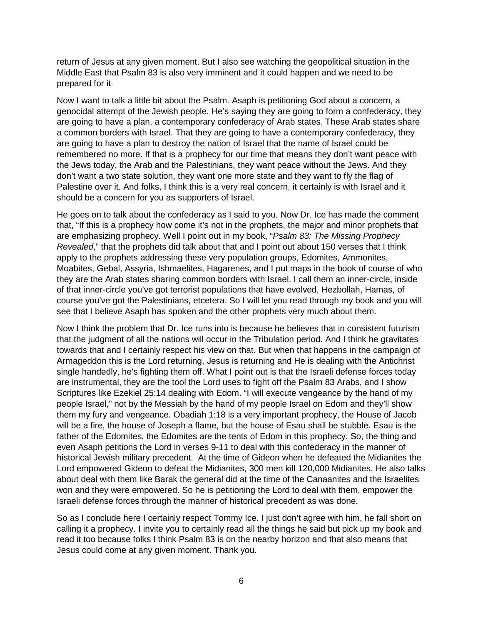return of Jesus at any given moment. But I also see watching the geopolitical situation in the Middle East that Psalm 83 is also very imminent and it could happen and we need to be prepared for it.

Now I want to talk a little bit about the Psalm. Asaph is petitioning God about a concern, a genocidal attempt of the Jewish people. He's saying they are going to form a confederacy, they are going to have a plan, a contemporary confederacy of Arab states. These Arab states share a common borders with Israel. That they are going to have a contemporary confederacy, they are going to have a plan to destroy the nation of Israel that the name of Israel could be remembered no more. If that is a prophecy for our time that means they don't want peace with the Jews today, the Arab and the Palestinians, they want peace without the Jews. And they don't want a two state solution, they want one more state and they want to fly the flag of Palestine over it. And folks, I think this is a very real concern, it certainly is with Israel and it should be a concern for you as supporters of Israel.

He goes on to talk about the confederacy as I said to you. Now Dr. Ice has made the comment that, "If this is a prophecy how come it's not in the prophets, the major and minor prophets that are emphasizing prophecy. Well I point out in my book, "*Psalm 83: The Missing Prophecy Revealed*," that the prophets did talk about that and I point out about 150 verses that I think apply to the prophets addressing these very population groups, Edomites, Ammonites, Moabites, Gebal, Assyria, Ishmaelites, Hagarenes, and I put maps in the book of course of who they are the Arab states sharing common borders with Israel. I call them an inner-circle, inside of that inner-circle you've got terrorist populations that have evolved, Hezbollah, Hamas, of course you've got the Palestinians, etcetera. So I will let you read through my book and you will see that I believe Asaph has spoken and the other prophets very much about them.

Now I think the problem that Dr. Ice runs into is because he believes that in consistent futurism that the judgment of all the nations will occur in the Tribulation period. And I think he gravitates towards that and I certainly respect his view on that. But when that happens in the campaign of Armageddon this is the Lord returning, Jesus is returning and He is dealing with the Antichrist single handedly, he's fighting them off. What I point out is that the Israeli defense forces today are instrumental, they are the tool the Lord uses to fight off the Psalm 83 Arabs, and I show Scriptures like Ezekiel 25:14 dealing with Edom. "I will execute vengeance by the hand of my people Israel," not by the Messiah by the hand of my people Israel on Edom and they'll show them my fury and vengeance. Obadiah 1:18 is a very important prophecy, the House of Jacob will be a fire, the house of Joseph a flame, but the house of Esau shall be stubble. Esau is the father of the Edomites, the Edomites are the tents of Edom in this prophecy. So, the thing and even Asaph petitions the Lord in verses 9-11 to deal with this confederacy in the manner of historical Jewish military precedent. At the time of Gideon when he defeated the Midianites the Lord empowered Gideon to defeat the Midianites, 300 men kill 120,000 Midianites. He also talks about deal with them like Barak the general did at the time of the Canaanites and the Israelites won and they were empowered. So he is petitioning the Lord to deal with them, empower the Israeli defense forces through the manner of historical precedent as was done.

So as I conclude here I certainly respect Tommy Ice. I just don't agree with him, he fall short on calling it a prophecy. I invite you to certainly read all the things he said but pick up my book and read it too because folks I think Psalm 83 is on the nearby horizon and that also means that Jesus could come at any given moment. Thank you.